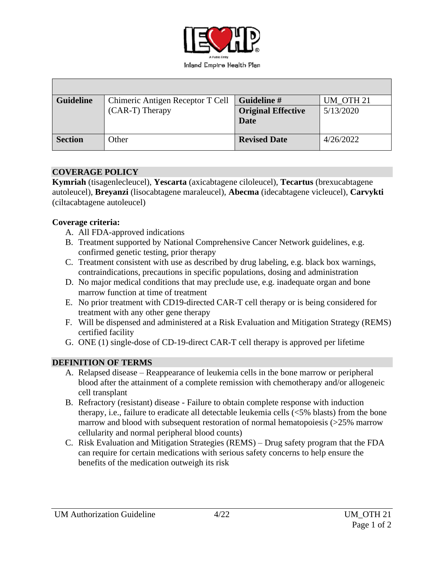

| <b>Guideline</b> | Chimeric Antigen Receptor T Cell | Guideline #               | UM OTH 21 |
|------------------|----------------------------------|---------------------------|-----------|
|                  | (CAR-T) Therapy                  | <b>Original Effective</b> | 5/13/2020 |
|                  |                                  | Date                      |           |
|                  |                                  |                           |           |
| <b>Section</b>   | Other                            | <b>Revised Date</b>       | 4/26/2022 |
|                  |                                  |                           |           |

## **COVERAGE POLICY**

**Kymriah** (tisagenlecleucel), **Yescarta** (axicabtagene ciloleucel), **Tecartus** (brexucabtagene autoleucel), **Breyanzi** (lisocabtagene maraleucel), **Abecma** (idecabtagene vicleucel), **Carvykti** (ciltacabtagene autoleucel)

### **Coverage criteria:**

- A. All FDA-approved indications
- B. Treatment supported by National Comprehensive Cancer Network guidelines, e.g. confirmed genetic testing, prior therapy
- C. Treatment consistent with use as described by drug labeling, e.g. black box warnings, contraindications, precautions in specific populations, dosing and administration
- D. No major medical conditions that may preclude use, e.g. inadequate organ and bone marrow function at time of treatment
- E. No prior treatment with CD19-directed CAR-T cell therapy or is being considered for treatment with any other gene therapy
- F. Will be dispensed and administered at a Risk Evaluation and Mitigation Strategy (REMS) certified facility
- G. ONE (1) single-dose of CD-19-direct CAR-T cell therapy is approved per lifetime

# **DEFINITION OF TERMS**

- A. Relapsed disease Reappearance of leukemia cells in the bone marrow or peripheral blood after the attainment of a complete remission with chemotherapy and/or allogeneic cell transplant
- B. Refractory (resistant) disease Failure to obtain complete response with induction therapy, i.e., failure to eradicate all detectable leukemia cells (<5% blasts) from the bone marrow and blood with subsequent restoration of normal hematopoiesis (>25% marrow cellularity and normal peripheral blood counts)
- C. Risk Evaluation and Mitigation Strategies (REMS) Drug safety program that the FDA can require for certain medications with serious safety concerns to help ensure the benefits of the medication outweigh its risk